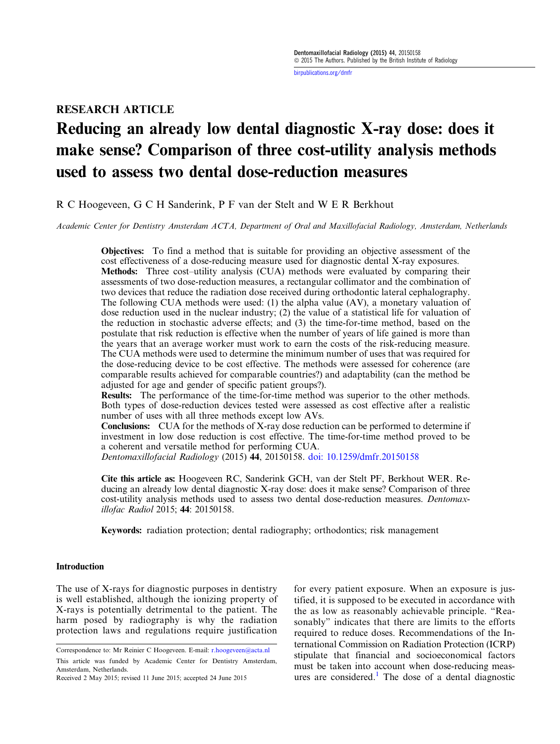[birpublications.org/dmfr](http://birpublications.org/dmfr)

# RESEARCH ARTICLE Reducing an already low dental diagnostic X-ray dose: does it make sense? Comparison of three cost-utility analysis methods used to assess two dental dose-reduction measures

R C Hoogeveen, G C H Sanderink, P F van der Stelt and W E R Berkhout

Academic Center for Dentistry Amsterdam ACTA, Department of Oral and Maxillofacial Radiology, Amsterdam, Netherlands

Objectives: To find a method that is suitable for providing an objective assessment of the cost effectiveness of a dose-reducing measure used for diagnostic dental X-ray exposures. Methods: Three cost–utility analysis (CUA) methods were evaluated by comparing their assessments of two dose-reduction measures, a rectangular collimator and the combination of two devices that reduce the radiation dose received during orthodontic lateral cephalography. The following CUA methods were used: (1) the alpha value (AV), a monetary valuation of dose reduction used in the nuclear industry; (2) the value of a statistical life for valuation of the reduction in stochastic adverse effects; and (3) the time-for-time method, based on the postulate that risk reduction is effective when the number of years of life gained is more than the years that an average worker must work to earn the costs of the risk-reducing measure. The CUA methods were used to determine the minimum number of uses that was required for the dose-reducing device to be cost effective. The methods were assessed for coherence (are comparable results achieved for comparable countries?) and adaptability (can the method be adjusted for age and gender of specific patient groups?).

Results: The performance of the time-for-time method was superior to the other methods. Both types of dose-reduction devices tested were assessed as cost effective after a realistic number of uses with all three methods except low AVs.

Conclusions: CUA for the methods of X-ray dose reduction can be performed to determine if investment in low dose reduction is cost effective. The time-for-time method proved to be a coherent and versatile method for performing CUA.

Dentomaxillofacial Radiology (2015) 44, 20150158. [doi: 10.1259/dmfr.20150158](http://dx.doi.org/10.1259/dmfr.20150158)

Cite this article as: Hoogeveen RC, Sanderink GCH, van der Stelt PF, Berkhout WER. Reducing an already low dental diagnostic X-ray dose: does it make sense? Comparison of three cost-utility analysis methods used to assess two dental dose-reduction measures. Dentomaxillofac Radiol 2015; 44: 20150158.

Keywords: radiation protection; dental radiography; orthodontics; risk management

## Introduction

The use of X-rays for diagnostic purposes in dentistry is well established, although the ionizing property of X-rays is potentially detrimental to the patient. The harm posed by radiography is why the radiation protection laws and regulations require justification

for every patient exposure. When an exposure is justified, it is supposed to be executed in accordance with the as low as reasonably achievable principle. "Reasonably" indicates that there are limits to the efforts required to reduce doses. Recommendations of the International Commission on Radiation Protection (ICRP) stipulate that financial and socioeconomical factors must be taken into account when dose-reducing meas-ures are considered.<sup>[1](#page-7-0)</sup> The dose of a dental diagnostic

Correspondence to: Mr Reinier C Hoogeveen. E-mail: [r.hoogeveen@acta.nl](mailto:r.hoogeveen@acta.nl) This article was funded by Academic Center for Dentistry Amsterdam, Amsterdam, Netherlands.

Received 2 May 2015; revised 11 June 2015; accepted 24 June 2015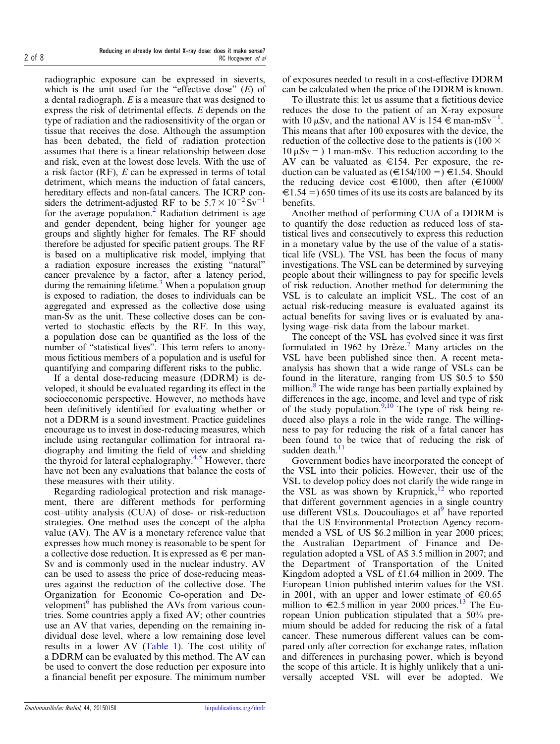radiographic exposure can be expressed in sieverts, which is the unit used for the "effective dose"  $(E)$  of a dental radiograph. E is a measure that was designed to express the risk of detrimental effects. E depends on the type of radiation and the radiosensitivity of the organ or tissue that receives the dose. Although the assumption has been debated, the field of radiation protection assumes that there is a linear relationship between dose and risk, even at the lowest dose levels. With the use of a risk factor (RF), E can be expressed in terms of total detriment, which means the induction of fatal cancers, hereditary effects and non-fatal cancers. The ICRP considers the detriment-adjusted RF to be  $5.7 \times 10^{-2}$  Sv<sup>-1</sup> for the average population. $<sup>2</sup>$  Radiation detriment is age</sup> and gender dependent, being higher for younger age groups and slightly higher for females. The RF should therefore be adjusted for specific patient groups. The RF is based on a multiplicative risk model, implying that a radiation exposure increases the existing "natural" cancer prevalence by a factor, after a latency period, during the remaining lifetime.<sup>3</sup> When a population group is exposed to radiation, the doses to individuals can be aggregated and expressed as the collective dose using man-Sv as the unit. These collective doses can be converted to stochastic effects by the RF. In this way, a population dose can be quantified as the loss of the number of "statistical lives". This term refers to anonymous fictitious members of a population and is useful for quantifying and comparing different risks to the public.

If a dental dose-reducing measure (DDRM) is developed, it should be evaluated regarding its effect in the socioeconomic perspective. However, no methods have been definitively identified for evaluating whether or not a DDRM is a sound investment. Practice guidelines encourage us to invest in dose-reducing measures, which include using rectangular collimation for intraoral radiography and limiting the field of view and shielding the thyroid for lateral cephalography. $4,5$  However, there have not been any evaluations that balance the costs of these measures with their utility.

Regarding radiological protection and risk management, there are different methods for performing cost–utility analysis (CUA) of dose- or risk-reduction strategies. One method uses the concept of the alpha value (AV). The AV is a monetary reference value that expresses how much money is reasonable to be spent for a collective dose reduction. It is expressed as  $\in$  per man-Sv and is commonly used in the nuclear industry. AV can be used to assess the price of dose-reducing measures against the reduction of the collective dose. The Organization for Economic Co-operation and Development $<sup>6</sup>$  $<sup>6</sup>$  $<sup>6</sup>$  has published the AVs from various coun-</sup> tries. Some countries apply a fixed AV; other countries use an AV that varies, depending on the remaining individual dose level, where a low remaining dose level results in a lower AV ([Table 1](#page-2-0)). The cost–utility of a DDRM can be evaluated by this method. The AV can be used to convert the dose reduction per exposure into a financial benefit per exposure. The minimum number of exposures needed to result in a cost-effective DDRM can be calculated when the price of the DDRM is known.

To illustrate this: let us assume that a fictitious device reduces the dose to the patient of an X-ray exposure with 10  $\mu$ Sv, and the national AV is 154  $\in$  man-mSv<sup>-1</sup>. This means that after 100 exposures with the device, the reduction of the collective dose to the patients is  $(100 \times$  $10 \mu Sv = 1$  man-mSv. This reduction according to the AV can be valuated as  $\in$ 154. Per exposure, the reduction can be valuated as  $(\text{ } \in 154/100 \text{ =}) \text{ } \in 1.54$ . Should the reducing device cost  $\in$ 1000, then after ( $\in$ 1000/  $\epsilon$ 1.54 = 650 times of its use its costs are balanced by its benefits.

Another method of performing CUA of a DDRM is to quantify the dose reduction as reduced loss of statistical lives and consecutively to express this reduction in a monetary value by the use of the value of a statistical life (VSL). The VSL has been the focus of many investigations. The VSL can be determined by surveying people about their willingness to pay for specific levels of risk reduction. Another method for determining the VSL is to calculate an implicit VSL. The cost of an actual risk-reducing measure is evaluated against its actual benefits for saving lives or is evaluated by analysing wage–risk data from the labour market.

The concept of the VSL has evolved since it was first formulated in 1962 by  $Drèze<sup>7</sup>$  $Drèze<sup>7</sup>$  $Drèze<sup>7</sup>$  Many articles on the VSL have been published since then. A recent metaanalysis has shown that a wide range of VSLs can be found in the literature, ranging from US \$0.5 to \$50 million.<sup>[8](#page-7-0)</sup> The wide range has been partially explained by differences in the age, income, and level and type of risk of the study population. $9,10$  The type of risk being reduced also plays a role in the wide range. The willingness to pay for reducing the risk of a fatal cancer has been found to be twice that of reducing the risk of sudden death.<sup>[11](#page-7-0)</sup>

Government bodies have incorporated the concept of the VSL into their policies. However, their use of the VSL to develop policy does not clarify the wide range in the VSL as was shown by Krupnick, $12$  who reported that different government agencies in a single country use different VSLs. Doucouliagos et al<sup>[9](#page-7-0)</sup> have reported that the US Environmental Protection Agency recommended a VSL of US \$6.2 million in year 2000 prices; the Australian Department of Finance and Deregulation adopted a VSL of A\$ 3.5 million in 2007; and the Department of Transportation of the United Kingdom adopted a VSL of £1.64 million in 2009. The European Union published interim values for the VSL in 2001, with an upper and lower estimate of  $\epsilon 0.65$ million to  $\in$  2.5 million in year 2000 prices.<sup>[13](#page-7-0)</sup> The European Union publication stipulated that a 50% premium should be added for reducing the risk of a fatal cancer. These numerous different values can be compared only after correction for exchange rates, inflation and differences in purchasing power, which is beyond the scope of this article. It is highly unlikely that a universally accepted VSL will ever be adopted. We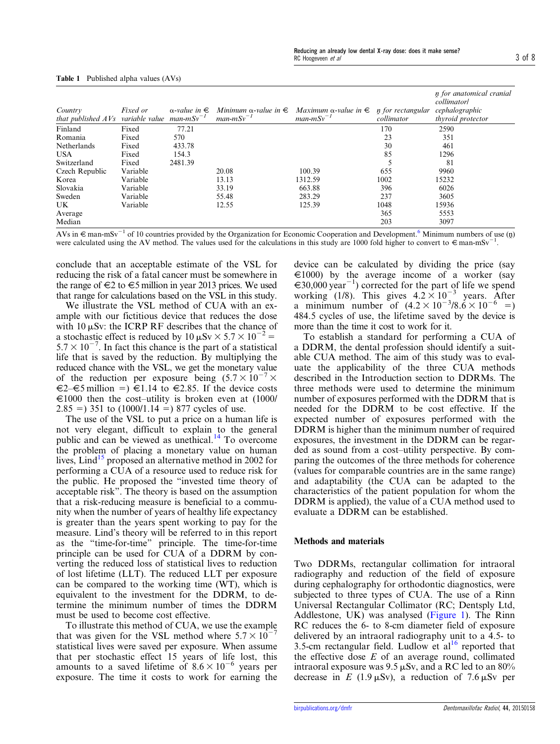| Country                                             | Fixed or | $\alpha$ -value in $\epsilon$ | Minimum $\alpha$ -value in $\epsilon$ | Maximum $\alpha$ -value in $\epsilon$ n for rectangular |            | <i>n</i> for anatomical cranial<br>collimatorl<br>cephalographic |
|-----------------------------------------------------|----------|-------------------------------|---------------------------------------|---------------------------------------------------------|------------|------------------------------------------------------------------|
| that published $AVs$ variable value man-m $Sv^{-1}$ |          |                               | $man\text{-}mSv^{-1}$                 | $man-mSv^{-1}$                                          | collimator | thyroid protector                                                |
| Finland                                             | Fixed    | 77.21                         |                                       |                                                         | 170        | 2590                                                             |
| Romania                                             | Fixed    | 570                           |                                       |                                                         | 23         | 351                                                              |
| Netherlands                                         | Fixed    | 433.78                        |                                       |                                                         | 30         | 461                                                              |
| <b>USA</b>                                          | Fixed    | 154.3                         |                                       |                                                         | 85         | 1296                                                             |
| Switzerland                                         | Fixed    | 2481.39                       |                                       |                                                         |            | 81                                                               |
| Czech Republic                                      | Variable |                               | 20.08                                 | 100.39                                                  | 655        | 9960                                                             |
| Korea                                               | Variable |                               | 13.13                                 | 1312.59                                                 | 1002       | 15232                                                            |
| Slovakia                                            | Variable |                               | 33.19                                 | 663.88                                                  | 396        | 6026                                                             |
| Sweden                                              | Variable |                               | 55.48                                 | 283.29                                                  | 237        | 3605                                                             |
| UK.                                                 | Variable |                               | 12.55                                 | 125.39                                                  | 1048       | 15936                                                            |
| Average                                             |          |                               |                                       |                                                         | 365        | 5553                                                             |
| Median                                              |          |                               |                                       |                                                         | 203        | 3097                                                             |

<span id="page-2-0"></span>Table 1 Published alpha values (AVs)

AVs in  $\epsilon$  man-mSv<sup>-1</sup> of 10 countries provided by the Organization for Economic Cooperation and Development.<sup>6</sup> Minimum numbers of use (n) were calculated using the AV method. The values used for the calculations in this study are 1000 fold higher to convert to  $\epsilon$  man-mSv<sup>-</sup> .

conclude that an acceptable estimate of the VSL for reducing the risk of a fatal cancer must be somewhere in the range of  $\epsilon$ 2 to  $\epsilon$ 5 million in year 2013 prices. We used that range for calculations based on the VSL in this study.

We illustrate the VSL method of CUA with an example with our fictitious device that reduces the dose with 10  $\mu$ Sv: the ICRP RF describes that the chance of a stochastic effect is reduced by  $10 \mu Sv \times 5.7 \times 10^{-2} =$  $5.7 \times 10^{-7}$ . In fact this chance is the part of a statistical life that is saved by the reduction. By multiplying the reduced chance with the VSL, we get the monetary value of the reduction per exposure being  $(5.7 \times 10^{-7} \times$  $\epsilon$ 2– $\epsilon$ 5 million =)  $\epsilon$ 1.14 to  $\epsilon$ 2.85. If the device costs  $\epsilon$ 1000 then the cost–utility is broken even at (1000/  $2.85 = 351$  to  $(1000/1.14 = 877)$  cycles of use.

The use of the VSL to put a price on a human life is not very elegant, difficult to explain to the general public and can be viewed as unethical.<sup>[14](#page-7-0)</sup> To overcome the problem of placing a monetary value on human lives, Lind<sup>[15](#page-7-0)</sup> proposed an alternative method in 2002 for performing a CUA of a resource used to reduce risk for the public. He proposed the "invested time theory of acceptable risk". The theory is based on the assumption that a risk-reducing measure is beneficial to a community when the number of years of healthy life expectancy is greater than the years spent working to pay for the measure. Lind's theory will be referred to in this report as the "time-for-time" principle. The time-for-time principle can be used for CUA of a DDRM by converting the reduced loss of statistical lives to reduction of lost lifetime (LLT). The reduced LLT per exposure can be compared to the working time (WT), which is equivalent to the investment for the DDRM, to determine the minimum number of times the DDRM must be used to become cost effective.

To illustrate this method of CUA, we use the example that was given for the VSL method where  $5.7 \times 10^{-7}$ statistical lives were saved per exposure. When assume that per stochastic effect 15 years of life lost, this amounts to a saved lifetime of  $8.6 \times 10^{-6}$  years per exposure. The time it costs to work for earning the

device can be calculated by dividing the price (say  $\epsilon$ 1000) by the average income of a worker (say  $\epsilon$ 30,000 year<sup>-1</sup>) corrected for the part of life we spend working (1/8). This gives  $4.2 \times 10^{-3}$  years. After a minimum number of  $(4.2 \times 10^{-3}/8.6 \times 10^{-6} =)$ 484.5 cycles of use, the lifetime saved by the device is more than the time it cost to work for it.

To establish a standard for performing a CUA of a DDRM, the dental profession should identify a suitable CUA method. The aim of this study was to evaluate the applicability of the three CUA methods described in the Introduction section to DDRMs. The three methods were used to determine the minimum number of exposures performed with the DDRM that is needed for the DDRM to be cost effective. If the expected number of exposures performed with the DDRM is higher than the minimum number of required exposures, the investment in the DDRM can be regarded as sound from a cost–utility perspective. By comparing the outcomes of the three methods for coherence (values for comparable countries are in the same range) and adaptability (the CUA can be adapted to the characteristics of the patient population for whom the DDRM is applied), the value of a CUA method used to evaluate a DDRM can be established.

## Methods and materials

Two DDRMs, rectangular collimation for intraoral radiography and reduction of the field of exposure during cephalography for orthodontic diagnostics, were subjected to three types of CUA. The use of a Rinn Universal Rectangular Collimator (RC; Dentsply Ltd, Addlestone, UK) was analysed [\(Figure 1\)](#page-3-0). The Rinn RC reduces the 6- to 8-cm diameter field of exposure delivered by an intraoral radiography unit to a 4.5- to 3.5-cm rectangular field. Ludlow et  $al<sup>16</sup>$  $al<sup>16</sup>$  $al<sup>16</sup>$  reported that the effective dose  $E$  of an average round, collimated intraoral exposure was  $9.5 \mu Sv$ , and a RC led to an  $80\%$ decrease in E (1.9  $\mu$ Sv), a reduction of 7.6  $\mu$ Sv per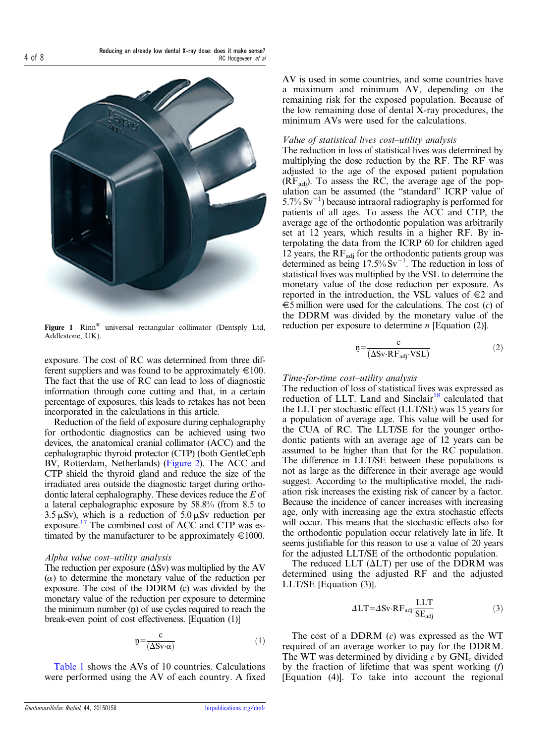<span id="page-3-0"></span>

Figure 1 Rinn<sup>®</sup> universal rectangular collimator (Dentsply Ltd, Addlestone, UK).

exposure. The cost of RC was determined from three different suppliers and was found to be approximately  $\in$ 100. The fact that the use of RC can lead to loss of diagnostic information through cone cutting and that, in a certain percentage of exposures, this leads to retakes has not been incorporated in the calculations in this article.

Reduction of the field of exposure during cephalography for orthodontic diagnostics can be achieved using two devices, the anatomical cranial collimator (ACC) and the cephalographic thyroid protector (CTP) (both GentleCeph BV, Rotterdam, Netherlands) [\(Figure 2](#page-4-0)). The ACC and CTP shield the thyroid gland and reduce the size of the irradiated area outside the diagnostic target during orthodontic lateral cephalography. These devices reduce the E of a lateral cephalographic exposure by 58.8% (from 8.5 to 3.5  $\mu$ Sv), which is a reduction of 5.0  $\mu$ Sv reduction per exposure[.17](#page-7-0) The combined cost of ACC and CTP was estimated by the manufacturer to be approximately  $\in$ 1000.

## Alpha value cost–utility analysis

The reduction per exposure ( $\Delta Sv$ ) was multiplied by the AV  $(\alpha)$  to determine the monetary value of the reduction per exposure. The cost of the DDRM (c) was divided by the monetary value of the reduction per exposure to determine the minimum number  $(p)$  of use cycles required to reach the break-even point of cost effectiveness. [Equation (1)]

$$
n = \frac{c}{(\Delta S v \cdot \alpha)}\tag{1}
$$

[Table 1](#page-2-0) shows the AVs of 10 countries. Calculations were performed using the AV of each country. A fixed AV is used in some countries, and some countries have a maximum and minimum AV, depending on the remaining risk for the exposed population. Because of the low remaining dose of dental X-ray procedures, the minimum AVs were used for the calculations.

## Value of statistical lives cost–utility analysis

The reduction in loss of statistical lives was determined by multiplying the dose reduction by the RF. The RF was adjusted to the age of the exposed patient population  $(RF_{\text{adi}})$ . To assess the RC, the average age of the population can be assumed (the "standard" ICRP value of  $5.7\%$  Sv<sup>-1</sup>) because intraoral radiography is performed for patients of all ages. To assess the ACC and CTP, the average age of the orthodontic population was arbitrarily set at 12 years, which results in a higher RF. By interpolating the data from the ICRP 60 for children aged 12 years, the  $RF_{\text{adj}}$  for the orthodontic patients group was determined as being  $17.5\% \text{ Sv}^{-1}$ . The reduction in loss of statistical lives was multiplied by the VSL to determine the monetary value of the dose reduction per exposure. As reported in the introduction, the VSL values of  $\in 2$  and  $\epsilon$ 5 million were used for the calculations. The cost (c) of the DDRM was divided by the monetary value of the reduction per exposure to determine  $n$  [Equation (2)].

$$
n = \frac{c}{(\Delta Sv \cdot RF_{\text{adj}} \cdot VSL)} \tag{2}
$$

## Time-for-time cost–utility analysis

The reduction of loss of statistical lives was expressed as reduction of LLT. Land and Sinclair<sup>[18](#page-7-0)</sup> calculated that the LLT per stochastic effect (LLT/SE) was 15 years for a population of average age. This value will be used for the CUA of RC. The LLT/SE for the younger orthodontic patients with an average age of 12 years can be assumed to be higher than that for the RC population. The difference in LLT/SE between these populations is not as large as the difference in their average age would suggest. According to the multiplicative model, the radiation risk increases the existing risk of cancer by a factor. Because the incidence of cancer increases with increasing age, only with increasing age the extra stochastic effects will occur. This means that the stochastic effects also for the orthodontic population occur relatively late in life. It seems justifiable for this reason to use a value of 20 years for the adjusted LLT/SE of the orthodontic population.

The reduced LLT  $(\Delta LT)$  per use of the DDRM was determined using the adjusted RF and the adjusted LLT/SE [Equation (3)].

$$
\Delta LT = \Delta Sv \cdot RF_{\text{adj}} \cdot \frac{LLT}{SE_{\text{adj}}}
$$
 (3)

The cost of a DDRM  $(c)$  was expressed as the WT required of an average worker to pay for the DDRM. The WT was determined by dividing  $c$  by  $GNI_c$  divided by the fraction of lifetime that was spent working  $(f)$ [Equation (4)]. To take into account the regional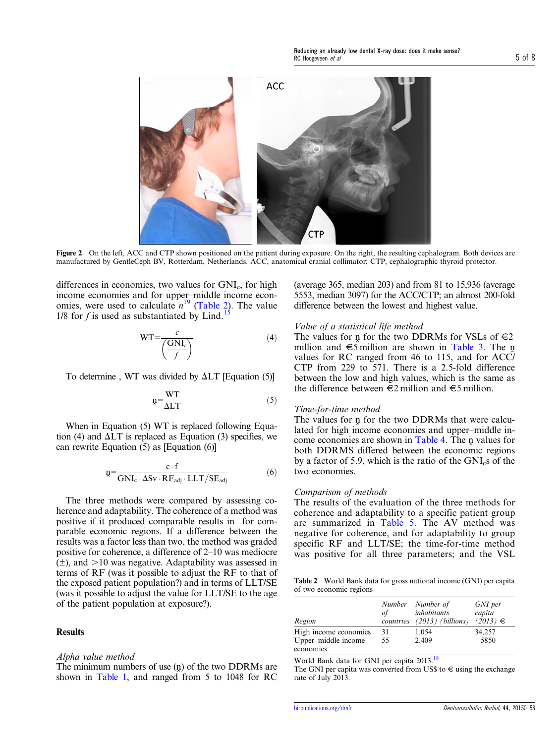Reducing an already low dental X-ray dose: does it make sense? RC Hoogeveen *et al* 5 of 8

<span id="page-4-0"></span>

Figure 2 On the left, ACC and CTP shown positioned on the patient during exposure. On the right, the resulting cephalogram. Both devices are manufactured by GentleCeph BV, Rotterdam, Netherlands. ACC, anatomical cranial collimator; CTP, cephalographic thyroid protector.

differences in economies, two values for  $GNI<sub>c</sub>$ , for high income economies and for upper–middle income economies, were used to calculate  $n^{19}$  $n^{19}$  $n^{19}$  (Table 2). The value 1/8 for f is used as substantiated by Lind.<sup>1</sup>

$$
WT = \frac{c}{\left(\frac{GNI_c}{f}\right)}\tag{4}
$$

To determine, WT was divided by  $\Delta LT$  [Equation (5)]

$$
p = \frac{WT}{\Delta LT}
$$
 (5)

When in Equation (5) WT is replaced following Equation (4) and  $\Delta LT$  is replaced as Equation (3) specifies, we can rewrite Equation (5) as [Equation (6)]

$$
\mathbf{n} = \frac{\mathbf{c} \cdot \mathbf{f}}{\mathbf{G} \mathbf{N} \mathbf{I}_{\mathbf{c}} \cdot \Delta \mathbf{S} \mathbf{v} \cdot \mathbf{R} \mathbf{F}_{\text{adj}} \cdot \mathbf{L} \mathbf{L} \mathbf{T} / \mathbf{S} \mathbf{E}_{\text{adj}}}
$$
(6)

The three methods were compared by assessing coherence and adaptability. The coherence of a method was positive if it produced comparable results in for comparable economic regions. If a difference between the results was a factor less than two, the method was graded positive for coherence, a difference of 2–10 was mediocre  $(\pm)$ , and  $>10$  was negative. Adaptability was assessed in terms of RF (was it possible to adjust the RF to that of the exposed patient population?) and in terms of LLT/SE (was it possible to adjust the value for LLT/SE to the age of the patient population at exposure?).

## **Results**

## Alpha value method

The minimum numbers of use  $(n)$  of the two DDRMs are shown in [Table 1,](#page-2-0) and ranged from 5 to 1048 for RC

(average 365, median 203) and from 81 to 15,936 (average 5553, median 3097) for the ACC/CTP; an almost 200-fold difference between the lowest and highest value.

## Value of a statistical life method

The values for n for the two DDRMs for VSLs of  $\epsilon$ 2 million and  $\epsilon$ 5 million are shown in [Table 3](#page-5-0). The n values for RC ranged from 46 to 115, and for ACC/ CTP from 229 to 571. There is a 2.5-fold difference between the low and high values, which is the same as the difference between  $\epsilon$ 2 million and  $\epsilon$ 5 million.

## Time-for-time method

The values for  $\pi$  for the two DDRMs that were calculated for high income economies and upper–middle in-come economies are shown in [Table 4.](#page-5-0) The n values for both DDRMS differed between the economic regions by a factor of 5.9, which is the ratio of the GNIcs of the two economies.

## Comparison of methods

The results of the evaluation of the three methods for coherence and adaptability to a specific patient group are summarized in [Table 5.](#page-6-0) The AV method was negative for coherence, and for adaptability to group specific RF and LLT/SE; the time-for-time method was positive for all three parameters; and the VSL

Table 2 World Bank data for gross national income (GNI) per capita of two economic regions

| Region                | οf | Number Number of<br>inhabitants<br>countries (2013) (billions) | GNI per<br>capita<br>$(2013) \in$ |
|-----------------------|----|----------------------------------------------------------------|-----------------------------------|
| High income economies | 31 | 1.054                                                          | 34,257                            |
| Upper-middle income   | 55 | 2.409                                                          | 5850                              |
| economies             |    |                                                                |                                   |

World Bank data for GNI per capita 2013.[18](#page-7-0)

The GNI per capita was converted from US\$ to  $\epsilon$  using the exchange rate of July 2013.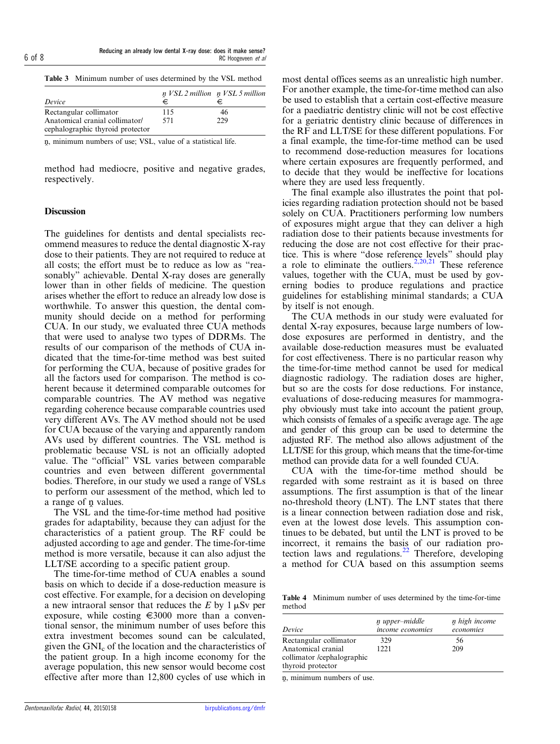<span id="page-5-0"></span>Reducing an already low dental X-ray dose: does it make sense?  $\frac{6}{5}$  of 8 RC Hoogeveen et al.

Table 3 Minimum number of uses determined by the VSL method

| Device                           | €   | n VSL 2 million n VSL 5 million |
|----------------------------------|-----|---------------------------------|
| Rectangular collimator           | 115 | 46                              |
| Anatomical cranial collimator/   | 571 | 229                             |
| cephalographic thyroid protector |     |                                 |

n, minimum numbers of use; VSL, value of a statistical life.

method had mediocre, positive and negative grades, respectively.

## **Discussion**

The guidelines for dentists and dental specialists recommend measures to reduce the dental diagnostic X-ray dose to their patients. They are not required to reduce at all costs; the effort must be to reduce as low as "reasonably" achievable. Dental X-ray doses are generally lower than in other fields of medicine. The question arises whether the effort to reduce an already low dose is worthwhile. To answer this question, the dental community should decide on a method for performing CUA. In our study, we evaluated three CUA methods that were used to analyse two types of DDRMs. The results of our comparison of the methods of CUA indicated that the time-for-time method was best suited for performing the CUA, because of positive grades for all the factors used for comparison. The method is coherent because it determined comparable outcomes for comparable countries. The AV method was negative regarding coherence because comparable countries used very different AVs. The AV method should not be used for CUA because of the varying and apparently random AVs used by different countries. The VSL method is problematic because VSL is not an officially adopted value. The "official" VSL varies between comparable countries and even between different governmental bodies. Therefore, in our study we used a range of VSLs to perform our assessment of the method, which led to a range of n values.

The VSL and the time-for-time method had positive grades for adaptability, because they can adjust for the characteristics of a patient group. The RF could be adjusted according to age and gender. The time-for-time method is more versatile, because it can also adjust the LLT/SE according to a specific patient group.

The time-for-time method of CUA enables a sound basis on which to decide if a dose-reduction measure is cost effective. For example, for a decision on developing a new intraoral sensor that reduces the E by  $1 \mu Sv$  per exposure, while costing  $\epsilon$ 3000 more than a conventional sensor, the minimum number of uses before this extra investment becomes sound can be calculated, given the GNIc of the location and the characteristics of the patient group. In a high income economy for the average population, this new sensor would become cost effective after more than 12,800 cycles of use which in

most dental offices seems as an unrealistic high number. For another example, the time-for-time method can also be used to establish that a certain cost-effective measure for a paediatric dentistry clinic will not be cost effective for a geriatric dentistry clinic because of differences in the RF and LLT/SE for these different populations. For a final example, the time-for-time method can be used to recommend dose-reduction measures for locations where certain exposures are frequently performed, and to decide that they would be ineffective for locations where they are used less frequently.

The final example also illustrates the point that policies regarding radiation protection should not be based solely on CUA. Practitioners performing low numbers of exposures might argue that they can deliver a high radiation dose to their patients because investments for reducing the dose are not cost effective for their practice. This is where "dose reference levels" should play a role to eliminate the outliers.<sup>[2,20,21](#page-7-0)</sup> These reference values, together with the CUA, must be used by governing bodies to produce regulations and practice guidelines for establishing minimal standards; a CUA by itself is not enough.

The CUA methods in our study were evaluated for dental X-ray exposures, because large numbers of lowdose exposures are performed in dentistry, and the available dose-reduction measures must be evaluated for cost effectiveness. There is no particular reason why the time-for-time method cannot be used for medical diagnostic radiology. The radiation doses are higher, but so are the costs for dose reductions. For instance, evaluations of dose-reducing measures for mammography obviously must take into account the patient group, which consists of females of a specific average age. The age and gender of this group can be used to determine the adjusted RF. The method also allows adjustment of the LLT/SE for this group, which means that the time-for-time method can provide data for a well founded CUA.

CUA with the time-for-time method should be regarded with some restraint as it is based on three assumptions. The first assumption is that of the linear no-threshold theory (LNT). The LNT states that there is a linear connection between radiation dose and risk, even at the lowest dose levels. This assumption continues to be debated, but until the LNT is proved to be incorrect, it remains the basis of our radiation protection laws and regulations. $^{22}$  $^{22}$  $^{22}$  Therefore, developing a method for CUA based on this assumption seems

Table 4 Minimum number of uses determined by the time-for-time method

| Device                     | n upper-middle<br>income economies | n high income<br>economies |
|----------------------------|------------------------------------|----------------------------|
| Rectangular collimator     | 329                                | 56                         |
| Anatomical cranial         | 1221                               | 209                        |
| collimator /cephalographic |                                    |                            |
| thyroid protector          |                                    |                            |

ṋ, minimum numbers of use.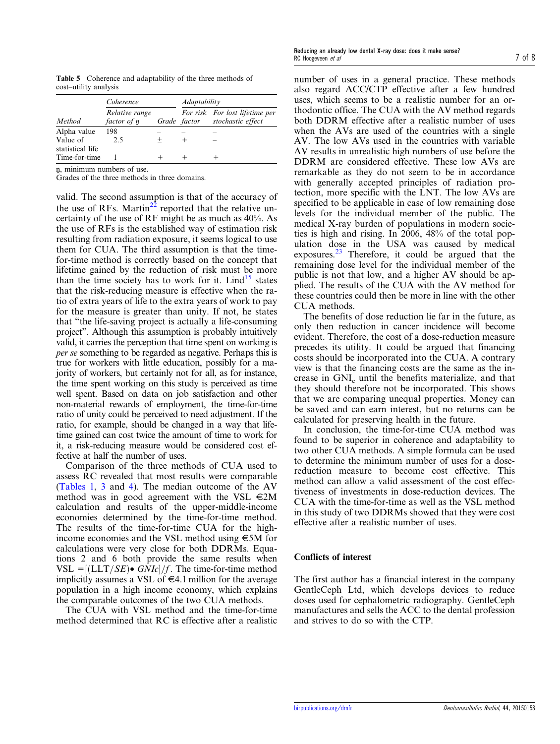<span id="page-6-0"></span>Table 5 Coherence and adaptability of the three methods of cost–utility analysis

|                              | Coherence                     | Adaptability |                                                                  |  |
|------------------------------|-------------------------------|--------------|------------------------------------------------------------------|--|
| Method                       | Relative range<br>factor of n |              | For risk For lost lifetime per<br>Grade factor stochastic effect |  |
| Alpha value                  | 198                           |              |                                                                  |  |
| Value of<br>statistical life | 2.5                           |              |                                                                  |  |
| Time-for-time                |                               |              |                                                                  |  |

ṋ, minimum numbers of use.

Grades of the three methods in three domains.

valid. The second assumption is that of the accuracy of the use of RFs. Martin<sup>[22](#page-7-0)</sup> reported that the relative uncertainty of the use of RF might be as much as 40%. As the use of RFs is the established way of estimation risk resulting from radiation exposure, it seems logical to use them for CUA. The third assumption is that the timefor-time method is correctly based on the concept that lifetime gained by the reduction of risk must be more than the time society has to work for it. Lind<sup>[15](#page-7-0)</sup> states that the risk-reducing measure is effective when the ratio of extra years of life to the extra years of work to pay for the measure is greater than unity. If not, he states that "the life-saving project is actually a life-consuming project". Although this assumption is probably intuitively valid, it carries the perception that time spent on working is per se something to be regarded as negative. Perhaps this is true for workers with little education, possibly for a majority of workers, but certainly not for all, as for instance, the time spent working on this study is perceived as time well spent. Based on data on job satisfaction and other non-material rewards of employment, the time-for-time ratio of unity could be perceived to need adjustment. If the ratio, for example, should be changed in a way that lifetime gained can cost twice the amount of time to work for it, a risk-reducing measure would be considered cost effective at half the number of uses.

Comparison of the three methods of CUA used to assess RC revealed that most results were comparable ([Tables 1](#page-2-0), [3](#page-5-0) and [4](#page-5-0)). The median outcome of the AV method was in good agreement with the VSL  $\in 2M$ calculation and results of the upper-middle-income economies determined by the time-for-time method. The results of the time-for-time CUA for the highincome economies and the VSL method using  $\epsilon$ 5M for calculations were very close for both DDRMs. Equations 2 and 6 both provide the same results when VSL  $= [(LLT/SE) \bullet GNIC]/f$ . The time-for-time method implicitly assumes a VSL of  $\in$  4.1 million for the average population in a high income economy, which explains the comparable outcomes of the two CUA methods.

The CUA with VSL method and the time-for-time method determined that RC is effective after a realistic number of uses in a general practice. These methods also regard ACC/CTP effective after a few hundred uses, which seems to be a realistic number for an orthodontic office. The CUA with the AV method regards both DDRM effective after a realistic number of uses when the AVs are used of the countries with a single AV. The low AVs used in the countries with variable AV results in unrealistic high numbers of use before the DDRM are considered effective. These low AVs are remarkable as they do not seem to be in accordance with generally accepted principles of radiation protection, more specific with the LNT. The low AVs are specified to be applicable in case of low remaining dose levels for the individual member of the public. The medical X-ray burden of populations in modern societies is high and rising. In 2006, 48% of the total population dose in the USA was caused by medical exposures. $23$  Therefore, it could be argued that the remaining dose level for the individual member of the public is not that low, and a higher AV should be applied. The results of the CUA with the AV method for these countries could then be more in line with the other CUA methods.

The benefits of dose reduction lie far in the future, as only then reduction in cancer incidence will become evident. Therefore, the cost of a dose-reduction measure precedes its utility. It could be argued that financing costs should be incorporated into the CUA. A contrary view is that the financing costs are the same as the increase in GNIc until the benefits materialize, and that they should therefore not be incorporated. This shows that we are comparing unequal properties. Money can be saved and can earn interest, but no returns can be calculated for preserving health in the future.

In conclusion, the time-for-time CUA method was found to be superior in coherence and adaptability to two other CUA methods. A simple formula can be used to determine the minimum number of uses for a dosereduction measure to become cost effective. This method can allow a valid assessment of the cost effectiveness of investments in dose-reduction devices. The CUA with the time-for-time as well as the VSL method in this study of two DDRMs showed that they were cost effective after a realistic number of uses.

## Conflicts of interest

The first author has a financial interest in the company GentleCeph Ltd, which develops devices to reduce doses used for cephalometric radiography. GentleCeph manufactures and sells the ACC to the dental profession and strives to do so with the CTP.